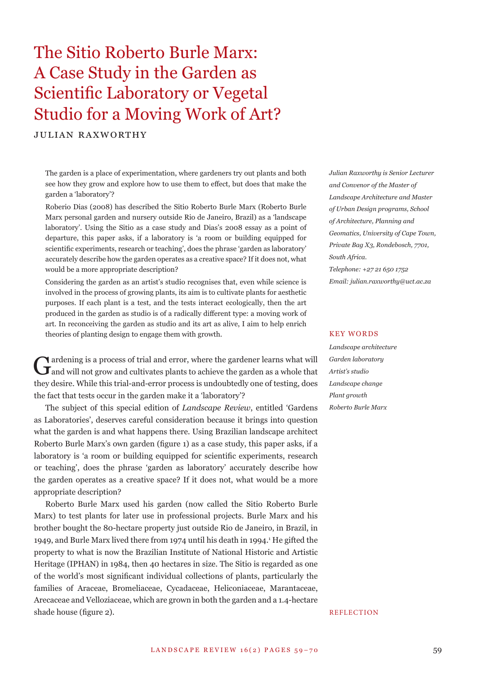# The Sitio Roberto Burle Marx: A Case Study in the Garden as Scientific Laboratory or Vegetal Studio for a Moving Work of Art?

JULIAN RAXWORTHY

The garden is a place of experimentation, where gardeners try out plants and both see how they grow and explore how to use them to effect, but does that make the garden a 'laboratory'?

Roberio Dias (2008) has described the Sitio Roberto Burle Marx (Roberto Burle Marx personal garden and nursery outside Rio de Janeiro, Brazil) as a 'landscape laboratory'. Using the Sitio as a case study and Dias's 2008 essay as a point of departure, this paper asks, if a laboratory is 'a room or building equipped for scientific experiments, research or teaching', does the phrase 'garden as laboratory' accurately describe how the garden operates as a creative space? If it does not, what would be a more appropriate description?

Considering the garden as an artist's studio recognises that, even while science is involved in the process of growing plants, its aim is to cultivate plants for aesthetic purposes. If each plant is a test, and the tests interact ecologically, then the art produced in the garden as studio is of a radically different type: a moving work of art. In reconceiving the garden as studio and its art as alive, I aim to help enrich theories of planting design to engage them with growth.

Gardening is a process of trial and error, where the gardener learns what will and will not grow and cultivates plants to achieve the garden as a whole that they desire. While this trial-and-error process is undoubtedly one of testing, does the fact that tests occur in the garden make it a 'laboratory'?

The subject of this special edition of *Landscape Review*, entitled 'Gardens as Laboratories', deserves careful consideration because it brings into question what the garden is and what happens there. Using Brazilian landscape architect Roberto Burle Marx's own garden (figure 1) as a case study, this paper asks, if a laboratory is 'a room or building equipped for scientific experiments, research or teaching', does the phrase 'garden as laboratory' accurately describe how the garden operates as a creative space? If it does not, what would be a more appropriate description?

Roberto Burle Marx used his garden (now called the Sitio Roberto Burle Marx) to test plants for later use in professional projects. Burle Marx and his brother bought the 80-hectare property just outside Rio de Janeiro, in Brazil, in 1949, and Burle Marx lived there from 1974 until his death in 1994.<sup>1</sup> He gifted the property to what is now the Brazilian Institute of National Historic and Artistic Heritage (IPHAN) in 1984, then 40 hectares in size. The Sitio is regarded as one of the world's most significant individual collections of plants, particularly the families of Araceae, Bromeliaceae, Cycadaceae, Heliconiaceae, Marantaceae, Arecaceae and Velloziaceae, which are grown in both the garden and a 1.4-hectare shade house (figure 2).

*Julian Raxworthy is Senior Lecturer and Convenor of the Master of Landscape Architecture and Master of Urban Design programs, School of Architecture, Planning and Geomatics, University of Cape Town, Private Bag X3, Rondebosch, 7701, South Africa. Telephone: +27 21 650 1752 Email: julian.raxworthy@uct.ac.za*

#### KEY WORDS

*Landscape architecture Garden laboratory Artist's studio Landscape change Plant growth Roberto Burle Marx*

### REFLECTION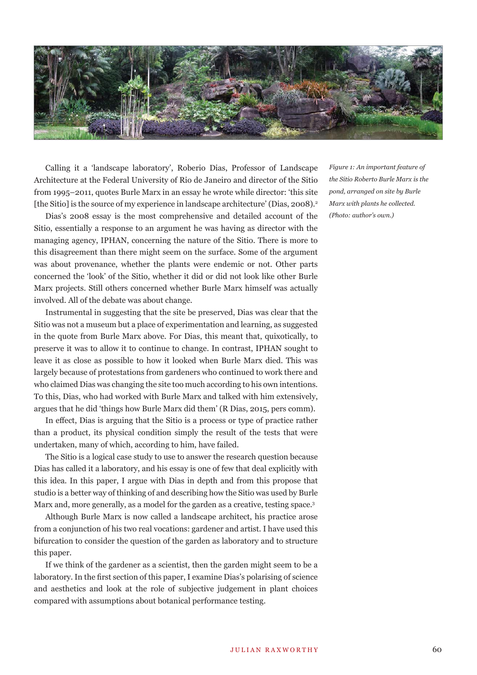

Calling it a 'landscape laboratory', Roberio Dias, Professor of Landscape Architecture at the Federal University of Rio de Janeiro and director of the Sitio from 1995–2011, quotes Burle Marx in an essay he wrote while director: 'this site [the Sitio] is the source of my experience in landscape architecture' (Dias, 2008).<sup>2</sup>

Dias's 2008 essay is the most comprehensive and detailed account of the Sitio, essentially a response to an argument he was having as director with the managing agency, IPHAN, concerning the nature of the Sitio. There is more to this disagreement than there might seem on the surface. Some of the argument was about provenance, whether the plants were endemic or not. Other parts concerned the 'look' of the Sitio, whether it did or did not look like other Burle Marx projects. Still others concerned whether Burle Marx himself was actually involved. All of the debate was about change.

Instrumental in suggesting that the site be preserved, Dias was clear that the Sitio was not a museum but a place of experimentation and learning, as suggested in the quote from Burle Marx above. For Dias, this meant that, quixotically, to preserve it was to allow it to continue to change. In contrast, IPHAN sought to leave it as close as possible to how it looked when Burle Marx died. This was largely because of protestations from gardeners who continued to work there and who claimed Dias was changing the site too much according to his own intentions. To this, Dias, who had worked with Burle Marx and talked with him extensively, argues that he did 'things how Burle Marx did them' (R Dias, 2015, pers comm).

In effect, Dias is arguing that the Sitio is a process or type of practice rather than a product, its physical condition simply the result of the tests that were undertaken, many of which, according to him, have failed.

The Sitio is a logical case study to use to answer the research question because Dias has called it a laboratory, and his essay is one of few that deal explicitly with this idea. In this paper, I argue with Dias in depth and from this propose that studio is a better way of thinking of and describing how the Sitio was used by Burle Marx and, more generally, as a model for the garden as a creative, testing space.<sup>3</sup>

Although Burle Marx is now called a landscape architect, his practice arose from a conjunction of his two real vocations: gardener and artist. I have used this bifurcation to consider the question of the garden as laboratory and to structure this paper.

If we think of the gardener as a scientist, then the garden might seem to be a laboratory. In the first section of this paper, I examine Dias's polarising of science and aesthetics and look at the role of subjective judgement in plant choices compared with assumptions about botanical performance testing.

*F igure 1: An important feature of the Sitio Roberto Burle Marx is the pond, arranged on site by Burle Marx with plants he collected. (Photo: author's own.)*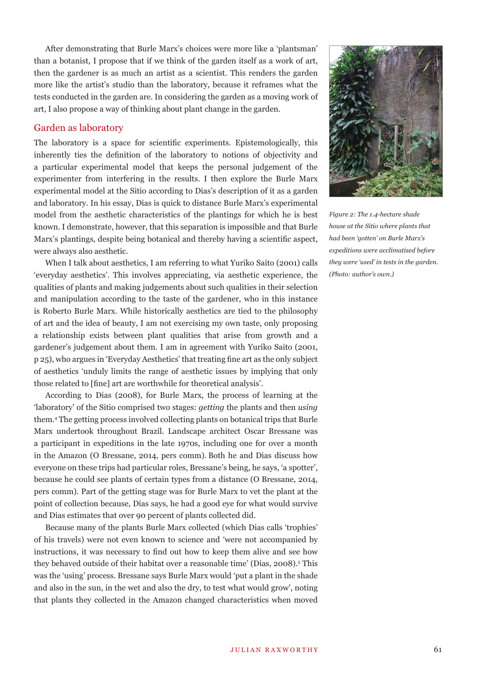After demonstrating that Burle Marx's choices were more like a 'plantsman' than a botanist, I propose that if we think of the garden itself as a work of art, then the gardener is as much an artist as a scientist. This renders the garden more like the artist's studio than the laboratory, because it reframes what the tests conducted in the garden are. In considering the garden as a moving work of art, I also propose a way of thinking about plant change in the garden.

# Garden as laboratory

The laboratory is a space for scientific experiments. Epistemologically, this inherently ties the definition of the laboratory to notions of objectivity and a particular experimental model that keeps the personal judgement of the experimenter from interfering in the results. I then explore the Burle Marx experimental model at the Sitio according to Dias's description of it as a garden and laboratory. In his essay, Dias is quick to distance Burle Marx's experimental model from the aesthetic characteristics of the plantings for which he is best known. I demonstrate, however, that this separation is impossible and that Burle Marx's plantings, despite being botanical and thereby having a scientific aspect, were always also aesthetic.

When I talk about aesthetics, I am referring to what Yuriko Saito (2001) calls 'everyday aesthetics'. This involves appreciating, via aesthetic experience, the qualities of plants and making judgements about such qualities in their selection and manipulation according to the taste of the gardener, who in this instance is Roberto Burle Marx. While historically aesthetics are tied to the philosophy of art and the idea of beauty, I am not exercising my own taste, only proposing a relationship exists between plant qualities that arise from growth and a gardener's judgement about them. I am in agreement with Yuriko Saito (2001, p 25), who argues in 'Everyday Aesthetics' that treating fine art as the only subject of aesthetics 'unduly limits the range of aesthetic issues by implying that only those related to [fine] art are worthwhile for theoretical analysis'.

According to Dias (2008), for Burle Marx, the process of learning at the 'laboratory' of the Sitio comprised two stages: *getting* the plants and then *using*  them.4 The getting process involved collecting plants on botanical trips that Burle Marx undertook throughout Brazil. Landscape architect Oscar Bressane was a participant in expeditions in the late 1970s, including one for over a month in the Amazon (O Bressane, 2014, pers comm). Both he and Dias discuss how everyone on these trips had particular roles, Bressane's being, he says, 'a spotter', because he could see plants of certain types from a distance (O Bressane, 2014, pers comm). Part of the getting stage was for Burle Marx to vet the plant at the point of collection because, Dias says, he had a good eye for what would survive and Dias estimates that over 90 percent of plants collected did.

Because many of the plants Burle Marx collected (which Dias calls 'trophies' of his travels) were not even known to science and 'were not accompanied by instructions, it was necessary to find out how to keep them alive and see how they behaved outside of their habitat over a reasonable time' (Dias, 2008).<sup>5</sup> This was the 'using' process. Bressane says Burle Marx would 'put a plant in the shade and also in the sun, in the wet and also the dry, to test what would grow', noting that plants they collected in the Amazon changed characteristics when moved



*Fi gure 2: The 1.4-hectare shade house at the Sitio where plants that had been 'gotten' on Burle Marx's expeditions were acclimatised before they were 'used' in tests in the garden. (Photo: author's own.)*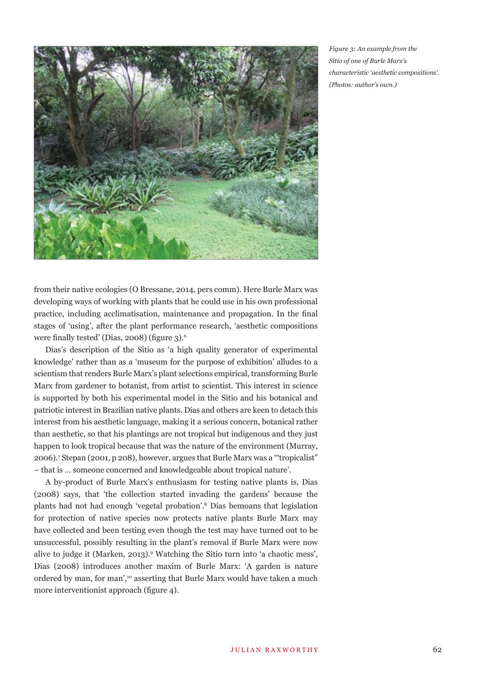

*Fig ure 3: An example from the Sitio of one of Burle Marx's characteristic 'aesthetic compositions'. (Photos: author's own.)*

from their native ecologies (O Bressane, 2014, pers comm). Here Burle Marx was developing ways of working with plants that he could use in his own professional practice, including acclimatisation, maintenance and propagation. In the final stages of 'using', after the plant performance research, 'aesthetic compositions were finally tested' (Dias, 2008) (figure  $3$ ).<sup>6</sup>

Dias's description of the Sitio as 'a high quality generator of experimental knowledge' rather than as a 'museum for the purpose of exhibition' alludes to a scientism that renders Burle Marx's plant selections empirical, transforming Burle Marx from gardener to botanist, from artist to scientist. This interest in science is supported by both his experimental model in the Sitio and his botanical and patriotic interest in Brazilian native plants. Dias and others are keen to detach this interest from his aesthetic language, making it a serious concern, botanical rather than aesthetic, so that his plantings are not tropical but indigenous and they just happen to look tropical because that was the nature of the environment (Murray, 2006).7 Stepan (2001, p 208), however, argues that Burle Marx was a '"tropicalist" – that is … someone concerned and knowledgeable about tropical nature'.

A by-product of Burle Marx's enthusiasm for testing native plants is, Dias (2008) says, that 'the collection started invading the gardens' because the plants had not had enough 'vegetal probation'.8 Dias bemoans that legislation for protection of native species now protects native plants Burle Marx may have collected and been testing even though the test may have turned out to be unsuccessful, possibly resulting in the plant's removal if Burle Marx were now alive to judge it (Marken, 2013).9 Watching the Sitio turn into 'a chaotic mess', Dias (2008) introduces another maxim of Burle Marx: 'A garden is nature ordered by man, for man',<sup>10</sup> asserting that Burle Marx would have taken a much more interventionist approach (figure 4).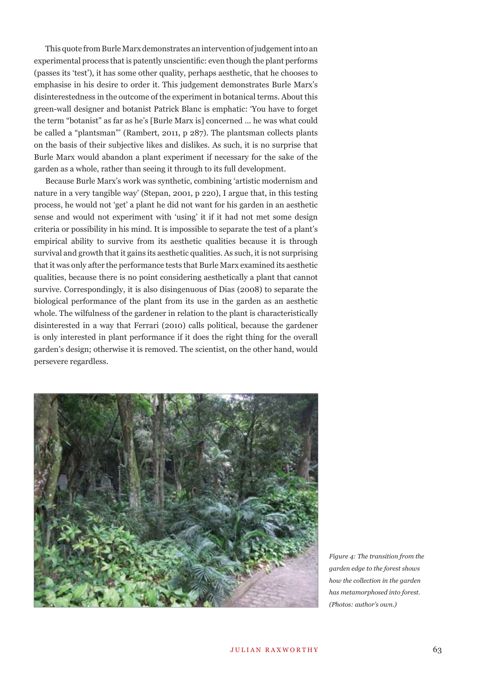This quote from Burle Marx demonstrates an intervention of judgement into an experimental process that is patently unscientific: even though the plant performs (passes its 'test'), it has some other quality, perhaps aesthetic, that he chooses to emphasise in his desire to order it. This judgement demonstrates Burle Marx's disinterestedness in the outcome of the experiment in botanical terms. About this green-wall designer and botanist Patrick Blanc is emphatic: 'You have to forget the term "botanist" as far as he's [Burle Marx is] concerned ... he was what could be called a "plantsman"' (Rambert, 2011, p 287). The plantsman collects plants on the basis of their subjective likes and dislikes. As such, it is no surprise that Burle Marx would abandon a plant experiment if necessary for the sake of the garden as a whole, rather than seeing it through to its full development.

Because Burle Marx's work was synthetic, combining 'artistic modernism and nature in a very tangible way' (Stepan, 2001, p 220), I argue that, in this testing process, he would not 'get' a plant he did not want for his garden in an aesthetic sense and would not experiment with 'using' it if it had not met some design criteria or possibility in his mind. It is impossible to separate the test of a plant's empirical ability to survive from its aesthetic qualities because it is through survival and growth that it gains its aesthetic qualities. As such, it is not surprising that it was only after the performance tests that Burle Marx examined its aesthetic qualities, because there is no point considering aesthetically a plant that cannot survive. Correspondingly, it is also disingenuous of Dias (2008) to separate the biological performance of the plant from its use in the garden as an aesthetic whole. The wilfulness of the gardener in relation to the plant is characteristically disinterested in a way that Ferrari (2010) calls political, because the gardener is only interested in plant performance if it does the right thing for the overall garden's design; otherwise it is removed. The scientist, on the other hand, would persevere regardless.



*Figure 4: The transition from the garden edge to the forest shows how the collection in the garden has metamorphosed into forest. (Photos: author's own.)*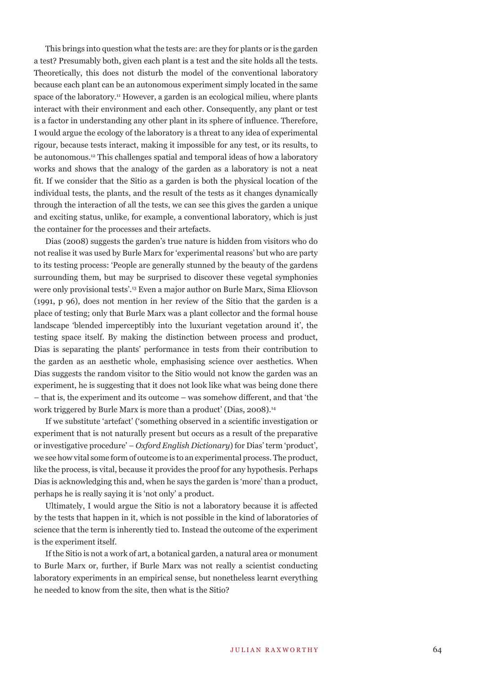This brings into question what the tests are: are they for plants or is the garden a test? Presumably both, given each plant is a test and the site holds all the tests. Theoretically, this does not disturb the model of the conventional laboratory because each plant can be an autonomous experiment simply located in the same space of the laboratory.<sup>11</sup> However, a garden is an ecological milieu, where plants interact with their environment and each other. Consequently, any plant or test is a factor in understanding any other plant in its sphere of influence. Therefore, I would argue the ecology of the laboratory is a threat to any idea of experimental rigour, because tests interact, making it impossible for any test, or its results, to be autonomous.12 This challenges spatial and temporal ideas of how a laboratory works and shows that the analogy of the garden as a laboratory is not a neat fit. If we consider that the Sitio as a garden is both the physical location of the individual tests, the plants, and the result of the tests as it changes dynamically through the interaction of all the tests, we can see this gives the garden a unique and exciting status, unlike, for example, a conventional laboratory, which is just the container for the processes and their artefacts.

Dias (2008) suggests the garden's true nature is hidden from visitors who do not realise it was used by Burle Marx for 'experimental reasons' but who are party to its testing process: 'People are generally stunned by the beauty of the gardens surrounding them, but may be surprised to discover these vegetal symphonies were only provisional tests'.13 Even a major author on Burle Marx, Sima Eliovson (1991, p 96), does not mention in her review of the Sitio that the garden is a place of testing; only that Burle Marx was a plant collector and the formal house landscape 'blended imperceptibly into the luxuriant vegetation around it', the testing space itself. By making the distinction between process and product, Dias is separating the plants' performance in tests from their contribution to the garden as an aesthetic whole, emphasising science over aesthetics. When Dias suggests the random visitor to the Sitio would not know the garden was an experiment, he is suggesting that it does not look like what was being done there – that is, the experiment and its outcome – was somehow different, and that 'the work triggered by Burle Marx is more than a product' (Dias, 2008).14

If we substitute 'artefact' ('something observed in a scientific investigation or experiment that is not naturally present but occurs as a result of the preparative or investigative procedure' – *Oxford English Dictionary*) for Dias' term 'product', we see how vital some form of outcome is to an experimental process. The product, like the process, is vital, because it provides the proof for any hypothesis. Perhaps Dias is acknowledging this and, when he says the garden is 'more' than a product, perhaps he is really saying it is 'not only' a product.

Ultimately, I would argue the Sitio is not a laboratory because it is affected by the tests that happen in it, which is not possible in the kind of laboratories of science that the term is inherently tied to. Instead the outcome of the experiment is the experiment itself.

If the Sitio is not a work of art, a botanical garden, a natural area or monument to Burle Marx or, further, if Burle Marx was not really a scientist conducting laboratory experiments in an empirical sense, but nonetheless learnt everything he needed to know from the site, then what is the Sitio?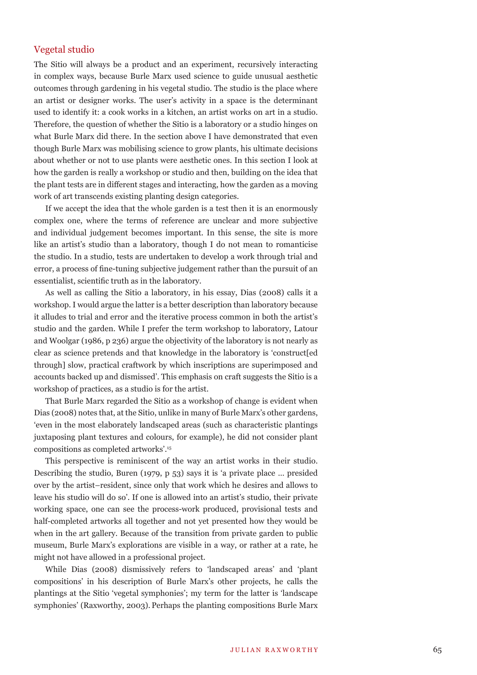# Vegetal studio

The Sitio will always be a product and an experiment, recursively interacting in complex ways, because Burle Marx used science to guide unusual aesthetic outcomes through gardening in his vegetal studio. The studio is the place where an artist or designer works. The user's activity in a space is the determinant used to identify it: a cook works in a kitchen, an artist works on art in a studio. Therefore, the question of whether the Sitio is a laboratory or a studio hinges on what Burle Marx did there. In the section above I have demonstrated that even though Burle Marx was mobilising science to grow plants, his ultimate decisions about whether or not to use plants were aesthetic ones. In this section I look at how the garden is really a workshop or studio and then, building on the idea that the plant tests are in different stages and interacting, how the garden as a moving work of art transcends existing planting design categories.

If we accept the idea that the whole garden is a test then it is an enormously complex one, where the terms of reference are unclear and more subjective and individual judgement becomes important. In this sense, the site is more like an artist's studio than a laboratory, though I do not mean to romanticise the studio. In a studio, tests are undertaken to develop a work through trial and error, a process of fine-tuning subjective judgement rather than the pursuit of an essentialist, scientific truth as in the laboratory.

As well as calling the Sitio a laboratory, in his essay, Dias (2008) calls it a workshop. I would argue the latter is a better description than laboratory because it alludes to trial and error and the iterative process common in both the artist's studio and the garden. While I prefer the term workshop to laboratory, Latour and Woolgar (1986, p 236) argue the objectivity of the laboratory is not nearly as clear as science pretends and that knowledge in the laboratory is 'construct[ed through] slow, practical craftwork by which inscriptions are superimposed and accounts backed up and dismissed'. This emphasis on craft suggests the Sitio is a workshop of practices, as a studio is for the artist.

That Burle Marx regarded the Sitio as a workshop of change is evident when Dias (2008) notes that, at the Sitio, unlike in many of Burle Marx's other gardens, 'even in the most elaborately landscaped areas (such as characteristic plantings juxtaposing plant textures and colours, for example), he did not consider plant compositions as completed artworks'.15

This perspective is reminiscent of the way an artist works in their studio. Describing the studio, Buren (1979, p 53) says it is 'a private place … presided over by the artist–resident, since only that work which he desires and allows to leave his studio will do so'. If one is allowed into an artist's studio, their private working space, one can see the process-work produced, provisional tests and half-completed artworks all together and not yet presented how they would be when in the art gallery. Because of the transition from private garden to public museum, Burle Marx's explorations are visible in a way, or rather at a rate, he might not have allowed in a professional project.

While Dias (2008) dismissively refers to 'landscaped areas' and 'plant compositions' in his description of Burle Marx's other projects, he calls the plantings at the Sitio 'vegetal symphonies'; my term for the latter is 'landscape symphonies' (Raxworthy, 2003). Perhaps the planting compositions Burle Marx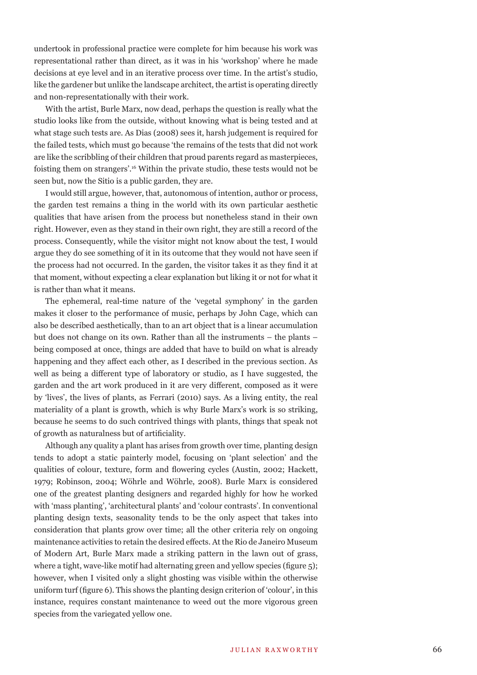undertook in professional practice were complete for him because his work was representational rather than direct, as it was in his 'workshop' where he made decisions at eye level and in an iterative process over time. In the artist's studio, like the gardener but unlike the landscape architect, the artist is operating directly and non-representationally with their work.

With the artist, Burle Marx, now dead, perhaps the question is really what the studio looks like from the outside, without knowing what is being tested and at what stage such tests are. As Dias (2008) sees it, harsh judgement is required for the failed tests, which must go because 'the remains of the tests that did not work are like the scribbling of their children that proud parents regard as masterpieces, foisting them on strangers'.16 Within the private studio, these tests would not be seen but, now the Sitio is a public garden, they are.

I would still argue, however, that, autonomous of intention, author or process, the garden test remains a thing in the world with its own particular aesthetic qualities that have arisen from the process but nonetheless stand in their own right. However, even as they stand in their own right, they are still a record of the process. Consequently, while the visitor might not know about the test, I would argue they do see something of it in its outcome that they would not have seen if the process had not occurred. In the garden, the visitor takes it as they find it at that moment, without expecting a clear explanation but liking it or not for what it is rather than what it means.

The ephemeral, real-time nature of the 'vegetal symphony' in the garden makes it closer to the performance of music, perhaps by John Cage, which can also be described aesthetically, than to an art object that is a linear accumulation but does not change on its own. Rather than all the instruments – the plants – being composed at once, things are added that have to build on what is already happening and they affect each other, as I described in the previous section. As well as being a different type of laboratory or studio, as I have suggested, the garden and the art work produced in it are very different, composed as it were by 'lives', the lives of plants, as Ferrari (2010) says. As a living entity, the real materiality of a plant is growth, which is why Burle Marx's work is so striking, because he seems to do such contrived things with plants, things that speak not of growth as naturalness but of artificiality.

Although any quality a plant has arises from growth over time, planting design tends to adopt a static painterly model, focusing on 'plant selection' and the qualities of colour, texture, form and flowering cycles (Austin, 2002; Hackett, 1979; Robinson, 2004; Wöhrle and Wöhrle, 2008). Burle Marx is considered one of the greatest planting designers and regarded highly for how he worked with 'mass planting', 'architectural plants' and 'colour contrasts'. In conventional planting design texts, seasonality tends to be the only aspect that takes into consideration that plants grow over time; all the other criteria rely on ongoing maintenance activities to retain the desired effects. At the Rio de Janeiro Museum of Modern Art, Burle Marx made a striking pattern in the lawn out of grass, where a tight, wave-like motif had alternating green and yellow species (figure  $\overline{5}$ ); however, when I visited only a slight ghosting was visible within the otherwise uniform turf (figure 6). This shows the planting design criterion of 'colour', in this instance, requires constant maintenance to weed out the more vigorous green species from the variegated yellow one.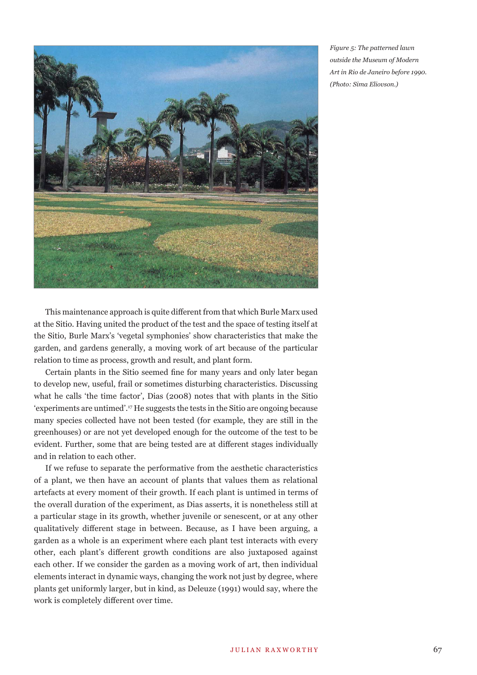

*Figure 5: The patterned lawn outside the Museum of Modern Art in Rio de Janeiro before 1990. (Photo: Sima Eliovson.)*

This maintenance approach is quite different from that which Burle Marx used at the Sitio. Having united the product of the test and the space of testing itself at the Sitio, Burle Marx's 'vegetal symphonies' show characteristics that make the garden, and gardens generally, a moving work of art because of the particular relation to time as process, growth and result, and plant form.

Certain plants in the Sitio seemed fine for many years and only later began to develop new, useful, frail or sometimes disturbing characteristics. Discussing what he calls 'the time factor', Dias (2008) notes that with plants in the Sitio 'experiments are untimed'.17 He suggests the tests in the Sitio are ongoing because many species collected have not been tested (for example, they are still in the greenhouses) or are not yet developed enough for the outcome of the test to be evident. Further, some that are being tested are at different stages individually and in relation to each other.

If we refuse to separate the performative from the aesthetic characteristics of a plant, we then have an account of plants that values them as relational artefacts at every moment of their growth. If each plant is untimed in terms of the overall duration of the experiment, as Dias asserts, it is nonetheless still at a particular stage in its growth, whether juvenile or senescent, or at any other qualitatively different stage in between. Because, as I have been arguing, a garden as a whole is an experiment where each plant test interacts with every other, each plant's different growth conditions are also juxtaposed against each other. If we consider the garden as a moving work of art, then individual elements interact in dynamic ways, changing the work not just by degree, where plants get uniformly larger, but in kind, as Deleuze (1991) would say, where the work is completely different over time.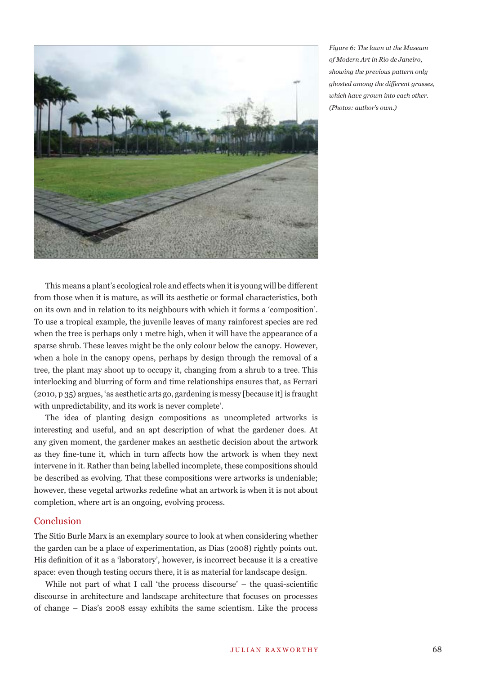

*Figure 6: The lawn at the Museum of Modern Art in Rio de Janeiro, showing the previous pattern only ghosted among the diff erent grasses, which have grown into each other. (Photos: author's own.)*

This means a plant's ecological role and effects when it is young will be different from those when it is mature, as will its aesthetic or formal characteristics, both on its own and in relation to its neighbours with which it forms a 'composition'. To use a tropical example, the juvenile leaves of many rainforest species are red when the tree is perhaps only 1 metre high, when it will have the appearance of a sparse shrub. These leaves might be the only colour below the canopy. However, when a hole in the canopy opens, perhaps by design through the removal of a tree, the plant may shoot up to occupy it, changing from a shrub to a tree. This interlocking and blurring of form and time relationships ensures that, as Ferrari (2010, p 35) argues, 'as aesthetic arts go, gardening is messy [because it] is fraught with unpredictability, and its work is never complete'.

The idea of planting design compositions as uncompleted artworks is interesting and useful, and an apt description of what the gardener does. At any given moment, the gardener makes an aesthetic decision about the artwork as they fine-tune it, which in turn affects how the artwork is when they next intervene in it. Rather than being labelled incomplete, these compositions should be described as evolving. That these compositions were artworks is undeniable; however, these vegetal artworks redefine what an artwork is when it is not about completion, where art is an ongoing, evolving process.

## **Conclusion**

The Sitio Burle Marx is an exemplary source to look at when considering whether the garden can be a place of experimentation, as Dias (2008) rightly points out. His definition of it as a 'laboratory', however, is incorrect because it is a creative space: even though testing occurs there, it is as material for landscape design.

While not part of what I call 'the process discourse'  $-$  the quasi-scientific discourse in architecture and landscape architecture that focuses on processes of change – Dias's 2008 essay exhibits the same scientism. Like the process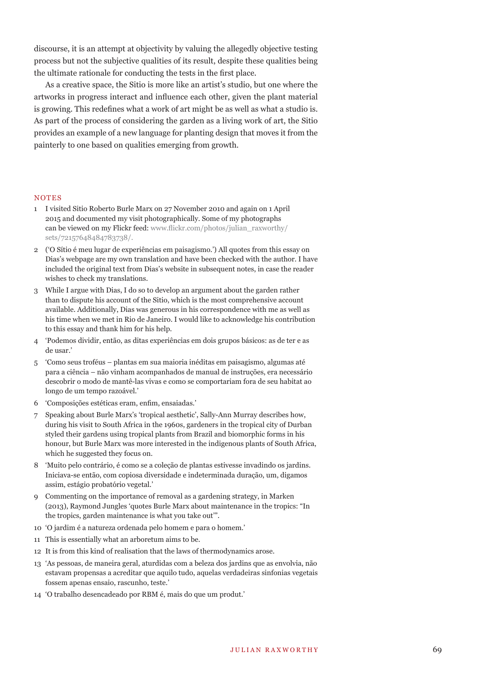discourse, it is an attempt at objectivity by valuing the allegedly objective testing process but not the subjective qualities of its result, despite these qualities being the ultimate rationale for conducting the tests in the first place.

As a creative space, the Sitio is more like an artist's studio, but one where the artworks in progress interact and influence each other, given the plant material is growing. This redefines what a work of art might be as well as what a studio is. As part of the process of considering the garden as a living work of art, the Sitio provides an example of a new language for planting design that moves it from the painterly to one based on qualities emerging from growth.

## NOTES

- 1 I visited Sitio Roberto Burle Marx on 27 November 2010 and again on 1 April 2015 and documented my visit photographically. Some of my photographs can be viewed on my Flickr feed: www.flickr.com/photos/julian\_raxworthy/ sets/72157648484783738/.
- 2 ('O Sítio é meu lugar de experiências em paisagismo.') All quotes from this essay on Dias's webpage are my own translation and have been checked with the author. I have included the original text from Dias's website in subsequent notes, in case the reader wishes to check my translations.
- 3 While I argue with Dias, I do so to develop an argument about the garden rather than to dispute his account of the Sitio, which is the most comprehensive account available. Additionally, Dias was generous in his correspondence with me as well as his time when we met in Rio de Janeiro. I would like to acknowledge his contribution to this essay and thank him for his help.
- 4 'Podemos dividir, então, as ditas experiências em dois grupos básicos: as de ter e as de usar.'
- 5 'Como seus troféus plantas em sua maioria inéditas em paisagismo, algumas até para a ciência – não vinham acompanhados de manual de instruções, era necessário descobrir o modo de mantê-las vivas e como se comportariam fora de seu habitat ao longo de um tempo razoável.'
- 6 'Composições estéticas eram, enfim, ensaiadas.'
- 7 Speaking about Burle Marx's 'tropical aesthetic', Sally-Ann Murray describes how, during his visit to South Africa in the 1960s, gardeners in the tropical city of Durban styled their gardens using tropical plants from Brazil and biomorphic forms in his honour, but Burle Marx was more interested in the indigenous plants of South Africa, which he suggested they focus on.
- 8 'Muito pelo contrário, é como se a coleção de plantas estivesse invadindo os jardins. Iniciava-se então, com copiosa diversidade e indeterminada duração, um, digamos assim, estágio probatório vegetal.'
- 9 Commenting on the importance of removal as a gardening strategy, in Marken (2013), Raymond Jungles 'quotes Burle Marx about maintenance in the tropics: "In the tropics, garden maintenance is what you take out'".
- 10 'O jardim é a natureza ordenada pelo homem e para o homem.'
- 11 This is essentially what an arboretum aims to be.
- 12 It is from this kind of realisation that the laws of thermodynamics arose.
- 13 'As pessoas, de maneira geral, aturdidas com a beleza dos jardins que as envolvia, não estavam propensas a acreditar que aquilo tudo, aquelas verdadeiras sinfonias vegetais fossem apenas ensaio, rascunho, teste.'
- 14 'O trabalho desencadeado por RBM é, mais do que um produt.'